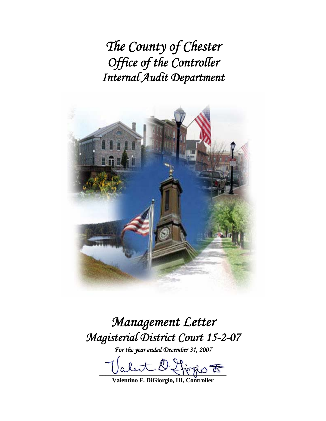*The County of Chester Office of the Controller Internal Audit Department*



# *Management Letter Magisterial District Court 15-2-07*

*For the year ended December 31, 2007* 

let 2 for  $\circ$ 

**Valentino F. DiGiorgio, III, Controller**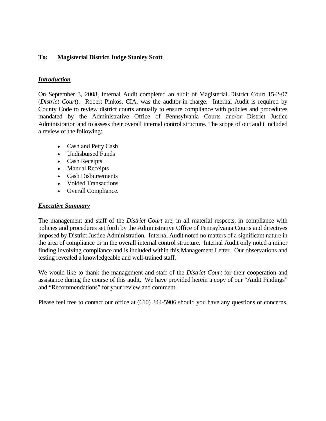### **To: Magisterial District Judge Stanley Scott**

#### *Introduction*

On September 3, 2008, Internal Audit completed an audit of Magisterial District Court 15-2-07 (*District Court*). Robert Pinkos, CIA, was the auditor-in-charge. Internal Audit is required by County Code to review district courts annually to ensure compliance with policies and procedures mandated by the Administrative Office of Pennsylvania Courts and/or District Justice Administration and to assess their overall internal control structure. The scope of our audit included a review of the following:

- Cash and Petty Cash
- Undisbursed Funds
- Cash Receipts
- Manual Receipts
- Cash Disbursements
- Voided Transactions
- Overall Compliance.

#### *Executive Summary*

The management and staff of the *District Court* are, in all material respects, in compliance with policies and procedures set forth by the Administrative Office of Pennsylvania Courts and directives imposed by District Justice Administration. Internal Audit noted no matters of a significant nature in the area of compliance or in the overall internal control structure. Internal Audit only noted a minor finding involving compliance and is included within this Management Letter. Our observations and testing revealed a knowledgeable and well-trained staff.

We would like to thank the management and staff of the *District Court* for their cooperation and assistance during the course of this audit. We have provided herein a copy of our "Audit Findings" and "Recommendations" for your review and comment.

Please feel free to contact our office at (610) 344-5906 should you have any questions or concerns.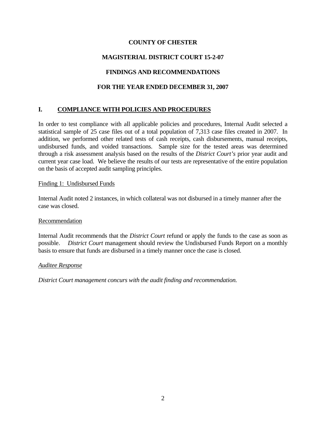## **COUNTY OF CHESTER**

# **MAGISTERIAL DISTRICT COURT 15-2-07**

# **FINDINGS AND RECOMMENDATIONS**

## **FOR THE YEAR ENDED DECEMBER 31, 2007**

# **I. COMPLIANCE WITH POLICIES AND PROCEDURES**

In order to test compliance with all applicable policies and procedures, Internal Audit selected a statistical sample of 25 case files out of a total population of 7,313 case files created in 2007. In addition, we performed other related tests of cash receipts, cash disbursements, manual receipts, undisbursed funds, and voided transactions. Sample size for the tested areas was determined through a risk assessment analysis based on the results of the *District Court's* prior year audit and current year case load. We believe the results of our tests are representative of the entire population on the basis of accepted audit sampling principles.

#### Finding 1: Undisbursed Funds

Internal Audit noted 2 instances, in which collateral was not disbursed in a timely manner after the case was closed.

#### Recommendation

Internal Audit recommends that the *District Court* refund or apply the funds to the case as soon as possible. *District Court* management should review the Undisbursed Funds Report on a monthly basis to ensure that funds are disbursed in a timely manner once the case is closed.

#### *Auditee Response*

*District Court management concurs with the audit finding and recommendation.*